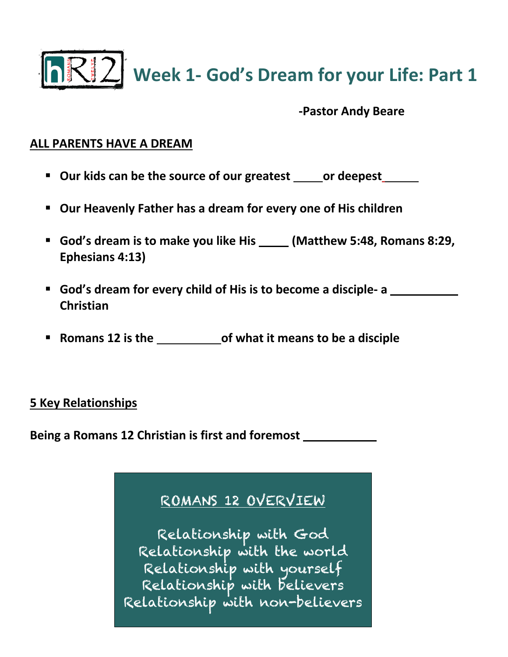

**RRI2** Week 1- God's Dream for your Life: Part 1

**-Pastor Andy Beare**

## **ALL PARENTS HAVE A DREAM**

- **E** Our kids can be the source of our greatest \_\_\_\_\_ or deepest\_\_\_\_\_\_
- § **Our Heavenly Father has a dream for every one of His children**
- God's dream is to make you like His **\_\_\_\_\_** (Matthew 5:48, Romans 8:29, **Ephesians 4:13)**
- **God's dream for every child of His is to become a disciple- a**  $\blacksquare$ **Christian**
- **Romans 12 is the <b>BLUE 20** of what it means to be a disciple

## **5 Key Relationships**

**Being a Romans 12 Christian is first and foremost** 

## ROMANS 12 OVERVIEW

Relationship with God Relationship with the world Relationship with yourself Relationship with believers Relationship with non-believers